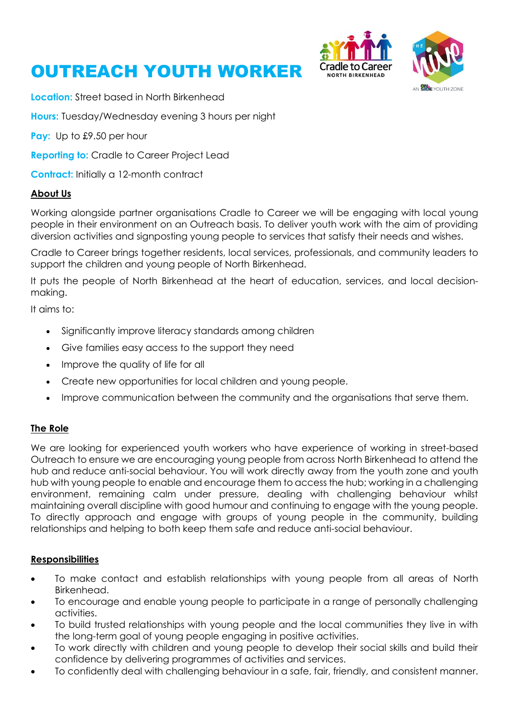





**Location:** Street based in North Birkenhead

**Hours:** Tuesday/Wednesday evening 3 hours per night

**Pay:** Up to £9.50 per hour

**Reporting to:** Cradle to Career Project Lead

**Contract:** Initially a 12-month contract

### **About Us**

Working alongside partner organisations Cradle to Career we will be engaging with local young people in their environment on an Outreach basis. To deliver youth work with the aim of providing diversion activities and signposting young people to services that satisfy their needs and wishes.

Cradle to Career brings together residents, local services, professionals, and community leaders to support the children and young people of North Birkenhead.

It puts the people of North Birkenhead at the heart of education, services, and local decisionmaking.

It aims to:

- Significantly improve literacy standards among children
- Give families easy access to the support they need
- Improve the quality of life for all
- Create new opportunities for local children and young people.
- Improve communication between the community and the organisations that serve them.

### **The Role**

We are looking for experienced youth workers who have experience of working in street-based Outreach to ensure we are encouraging young people from across North Birkenhead to attend the hub and reduce anti-social behaviour. You will work directly away from the youth zone and youth hub with young people to enable and encourage them to access the hub; working in a challenging environment, remaining calm under pressure, dealing with challenging behaviour whilst maintaining overall discipline with good humour and continuing to engage with the young people. To directly approach and engage with groups of young people in the community, building relationships and helping to both keep them safe and reduce anti-social behaviour.

### **Responsibilities**

- To make contact and establish relationships with young people from all areas of North Birkenhead.
- To encourage and enable young people to participate in a range of personally challenging activities.
- To build trusted relationships with young people and the local communities they live in with the long-term goal of young people engaging in positive activities.
- To work directly with children and young people to develop their social skills and build their confidence by delivering programmes of activities and services.
- To confidently deal with challenging behaviour in a safe, fair, friendly, and consistent manner.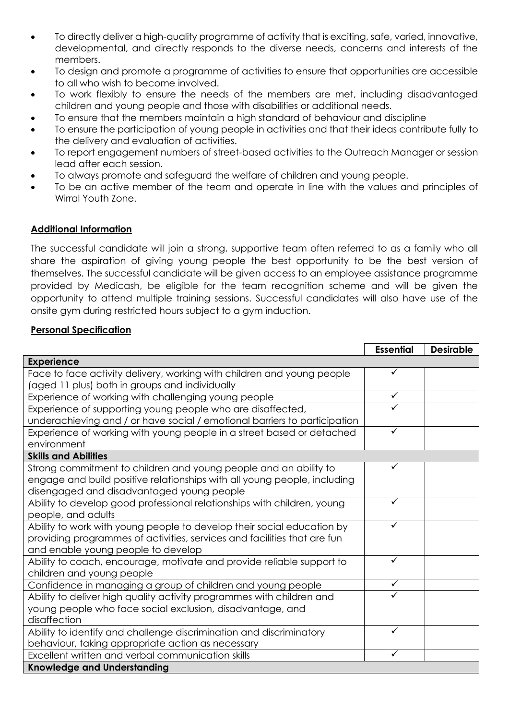- To directly deliver a high-quality programme of activity that is exciting, safe, varied, innovative, developmental, and directly responds to the diverse needs, concerns and interests of the members.
- To design and promote a programme of activities to ensure that opportunities are accessible to all who wish to become involved.
- To work flexibly to ensure the needs of the members are met, including disadvantaged children and young people and those with disabilities or additional needs.
- To ensure that the members maintain a high standard of behaviour and discipline
- To ensure the participation of young people in activities and that their ideas contribute fully to the delivery and evaluation of activities.
- To report engagement numbers of street-based activities to the Outreach Manager or session lead after each session.
- To always promote and safeguard the welfare of children and young people.
- To be an active member of the team and operate in line with the values and principles of Wirral Youth Zone.

### **Additional Information**

The successful candidate will join a strong, supportive team often referred to as a family who all share the aspiration of giving young people the best opportunity to be the best version of themselves. The successful candidate will be given access to an employee assistance programme provided by Medicash, be eligible for the team recognition scheme and will be given the opportunity to attend multiple training sessions. Successful candidates will also have use of the onsite gym during restricted hours subject to a gym induction.

#### **Personal Specification**

|                                                                           | <b>Essential</b> | <b>Desirable</b> |  |
|---------------------------------------------------------------------------|------------------|------------------|--|
| <b>Experience</b>                                                         |                  |                  |  |
| Face to face activity delivery, working with children and young people    | $\checkmark$     |                  |  |
| (aged 11 plus) both in groups and individually                            |                  |                  |  |
| Experience of working with challenging young people                       | $\checkmark$     |                  |  |
| Experience of supporting young people who are disaffected,                | ✓                |                  |  |
| underachieving and / or have social / emotional barriers to participation |                  |                  |  |
| Experience of working with young people in a street based or detached     | $\checkmark$     |                  |  |
| environment                                                               |                  |                  |  |
| <b>Skills and Abilities</b>                                               |                  |                  |  |
| Strong commitment to children and young people and an ability to          | ✓                |                  |  |
| engage and build positive relationships with all young people, including  |                  |                  |  |
| disengaged and disadvantaged young people                                 |                  |                  |  |
| Ability to develop good professional relationships with children, young   | $\checkmark$     |                  |  |
| people, and adults                                                        |                  |                  |  |
| Ability to work with young people to develop their social education by    | ✓                |                  |  |
| providing programmes of activities, services and facilities that are fun  |                  |                  |  |
| and enable young people to develop                                        |                  |                  |  |
| Ability to coach, encourage, motivate and provide reliable support to     | ✓                |                  |  |
| children and young people                                                 |                  |                  |  |
| Confidence in managing a group of children and young people               | $\checkmark$     |                  |  |
| Ability to deliver high quality activity programmes with children and     |                  |                  |  |
| young people who face social exclusion, disadvantage, and                 |                  |                  |  |
| disaffection                                                              |                  |                  |  |
| Ability to identify and challenge discrimination and discriminatory       | $\checkmark$     |                  |  |
| behaviour, taking appropriate action as necessary                         |                  |                  |  |
| Excellent written and verbal communication skills                         | $\checkmark$     |                  |  |
| <b>Knowledge and Understanding</b>                                        |                  |                  |  |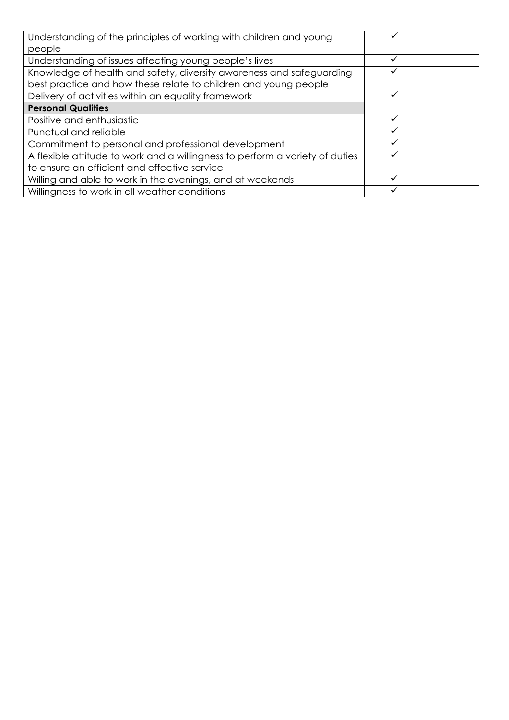| Understanding of the principles of working with children and young                                                                      |   |  |
|-----------------------------------------------------------------------------------------------------------------------------------------|---|--|
| people                                                                                                                                  |   |  |
| Understanding of issues affecting young people's lives                                                                                  | ✓ |  |
| Knowledge of health and safety, diversity awareness and safeguarding<br>best practice and how these relate to children and young people |   |  |
| Delivery of activities within an equality framework                                                                                     | ✓ |  |
| <b>Personal Qualities</b>                                                                                                               |   |  |
| Positive and enthusiastic                                                                                                               |   |  |
| Punctual and reliable                                                                                                                   |   |  |
| Commitment to personal and professional development                                                                                     | ✓ |  |
| A flexible attitude to work and a willingness to perform a variety of duties                                                            |   |  |
| to ensure an efficient and effective service                                                                                            |   |  |
| Willing and able to work in the evenings, and at weekends                                                                               | ✓ |  |
| Willingness to work in all weather conditions                                                                                           |   |  |